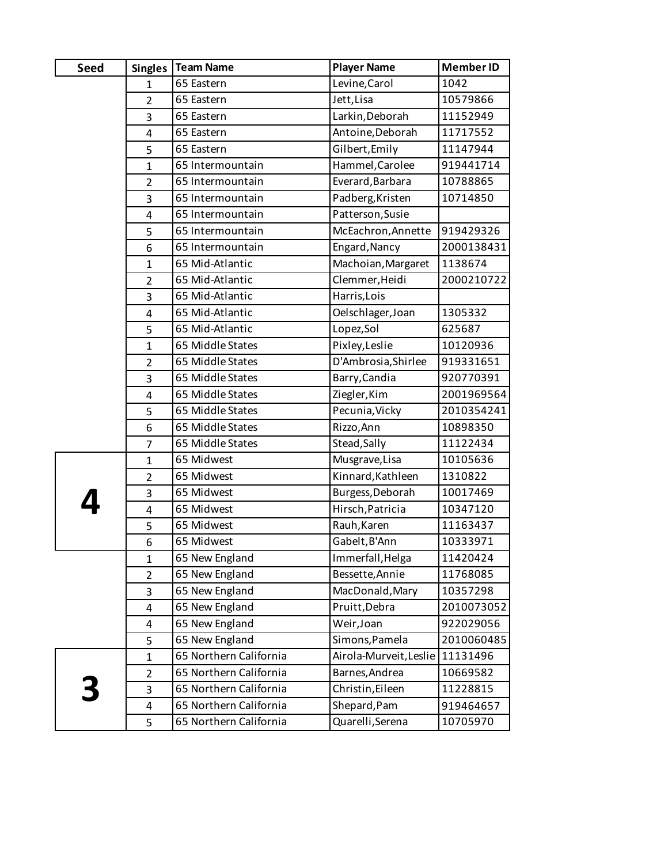| <b>Seed</b> | <b>Singles</b> | <b>Team Name</b>       | <b>Player Name</b>     | <b>Member ID</b> |
|-------------|----------------|------------------------|------------------------|------------------|
|             | $\mathbf{1}$   | 65 Eastern             | Levine, Carol          | 1042             |
|             | $\overline{2}$ | 65 Eastern             | Jett, Lisa             | 10579866         |
|             | 3              | 65 Eastern             | Larkin, Deborah        | 11152949         |
|             | $\overline{4}$ | 65 Eastern             | Antoine, Deborah       | 11717552         |
|             | 5              | 65 Eastern             | Gilbert, Emily         | 11147944         |
|             | $\mathbf{1}$   | 65 Intermountain       | Hammel, Carolee        | 919441714        |
|             | $\overline{2}$ | 65 Intermountain       | Everard, Barbara       | 10788865         |
|             | 3              | 65 Intermountain       | Padberg, Kristen       | 10714850         |
|             | $\overline{4}$ | 65 Intermountain       | Patterson, Susie       |                  |
|             | 5              | 65 Intermountain       | McEachron, Annette     | 919429326        |
|             | 6              | 65 Intermountain       | Engard, Nancy          | 2000138431       |
|             | $\mathbf{1}$   | 65 Mid-Atlantic        | Machoian, Margaret     | 1138674          |
|             | $\overline{2}$ | 65 Mid-Atlantic        | Clemmer, Heidi         | 2000210722       |
|             | 3              | 65 Mid-Atlantic        | Harris, Lois           |                  |
|             | $\overline{4}$ | 65 Mid-Atlantic        | Oelschlager, Joan      | 1305332          |
|             | 5              | 65 Mid-Atlantic        | Lopez, Sol             | 625687           |
|             | $\mathbf{1}$   | 65 Middle States       | Pixley, Leslie         | 10120936         |
|             | $\overline{2}$ | 65 Middle States       | D'Ambrosia, Shirlee    | 919331651        |
|             | 3              | 65 Middle States       | Barry, Candia          | 920770391        |
|             | $\overline{4}$ | 65 Middle States       | Ziegler, Kim           | 2001969564       |
|             | 5              | 65 Middle States       | Pecunia, Vicky         | 2010354241       |
|             | 6              | 65 Middle States       | Rizzo, Ann             | 10898350         |
|             | $\overline{7}$ | 65 Middle States       | Stead, Sally           | 11122434         |
|             | $\mathbf{1}$   | 65 Midwest             | Musgrave, Lisa         | 10105636         |
|             | $\overline{2}$ | 65 Midwest             | Kinnard, Kathleen      | 1310822          |
|             | 3              | 65 Midwest             | Burgess, Deborah       | 10017469         |
|             | $\overline{4}$ | 65 Midwest             | Hirsch, Patricia       | 10347120         |
|             | $\mathsf S$    | 65 Midwest             | Rauh, Karen            | 11163437         |
|             | 6              | 65 Midwest             | Gabelt, B'Ann          | 10333971         |
|             | $\mathbf{1}$   | 65 New England         | Immerfall, Helga       | 11420424         |
|             | $\overline{2}$ | 65 New England         | Bessette, Annie        | 11768085         |
|             | 3              | 65 New England         | MacDonald, Mary        | 10357298         |
|             | 4              | 65 New England         | Pruitt, Debra          | 2010073052       |
|             | 4              | 65 New England         | Weir, Joan             | 922029056        |
|             | 5              | 65 New England         | Simons, Pamela         | 2010060485       |
|             | $\mathbf{1}$   | 65 Northern California | Airola-Murveit, Leslie | 11131496         |
|             | $\overline{2}$ | 65 Northern California | Barnes, Andrea         | 10669582         |
|             | 3              | 65 Northern California | Christin, Eileen       | 11228815         |
|             | 4              | 65 Northern California | Shepard, Pam           | 919464657        |
|             | 5              | 65 Northern California | Quarelli, Serena       | 10705970         |